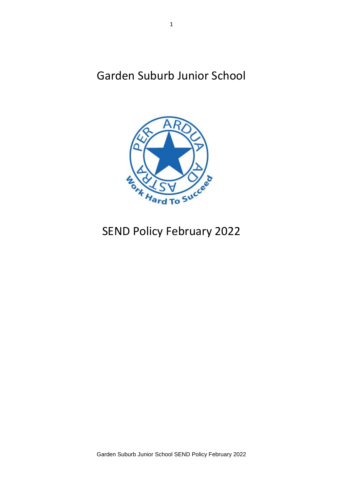Garden Suburb Junior School



# SEND Policy February 2022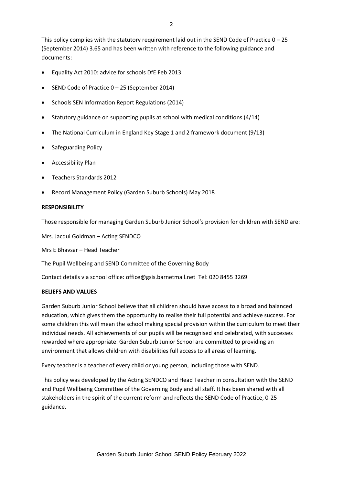This policy complies with the statutory requirement laid out in the SEND Code of Practice  $0 - 25$ (September 2014) 3.65 and has been written with reference to the following guidance and documents:

- Equality Act 2010: advice for schools DfE Feb 2013
- SEND Code of Practice 0 25 (September 2014)
- Schools SEN Information Report Regulations (2014)
- **•** Statutory guidance on supporting pupils at school with medical conditions  $(4/14)$
- The National Curriculum in England Key Stage 1 and 2 framework document (9/13)
- Safeguarding Policy
- **•** Accessibility Plan
- Teachers Standards 2012
- Record Management Policy (Garden Suburb Schools) May 2018

# **RESPONSIBILITY**

Those responsible for managing Garden Suburb Junior School's provision for children with SEND are:

Mrs. Jacqui Goldman – Acting SENDCO

Mrs E Bhavsar – Head Teacher

The Pupil Wellbeing and SEND Committee of the Governing Body

Contact details via school office[: office@gsis.barnetmail.net](mailto:office@gsis.barnetmail.net) Tel: 020 8455 3269

#### **BELIEFS AND VALUES**

Garden Suburb Junior School believe that all children should have access to a broad and balanced education, which gives them the opportunity to realise their full potential and achieve success. For some children this will mean the school making special provision within the curriculum to meet their individual needs. All achievements of our pupils will be recognised and celebrated, with successes rewarded where appropriate. Garden Suburb Junior School are committed to providing an environment that allows children with disabilities full access to all areas of learning.

Every teacher is a teacher of every child or young person, including those with SEND.

This policy was developed by the Acting SENDCO and Head Teacher in consultation with the SEND and Pupil Wellbeing Committee of the Governing Body and all staff. It has been shared with all stakeholders in the spirit of the current reform and reflects the SEND Code of Practice, 0-25 guidance.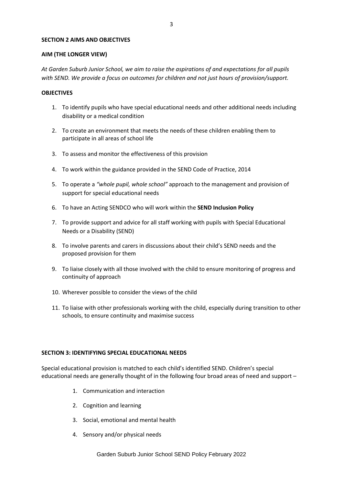### **SECTION 2 AIMS AND OBJECTIVES**

#### **AIM (THE LONGER VIEW)**

*At Garden Suburb Junior School, we aim to raise the aspirations of and expectations for all pupils with SEND. We provide a focus on outcomes for children and not just hours of provision/support.*

# **OBJECTIVES**

- 1. To identify pupils who have special educational needs and other additional needs including disability or a medical condition
- 2. To create an environment that meets the needs of these children enabling them to participate in all areas of school life
- 3. To assess and monitor the effectiveness of this provision
- 4. To work within the guidance provided in the SEND Code of Practice, 2014
- 5. To operate a *"whole pupil, whole school"* approach to the management and provision of support for special educational needs
- 6. To have an Acting SENDCO who will work within the **SEND Inclusion Policy**
- 7. To provide support and advice for all staff working with pupils with Special Educational Needs or a Disability (SEND)
- 8. To involve parents and carers in discussions about their child's SEND needs and the proposed provision for them
- 9. To liaise closely with all those involved with the child to ensure monitoring of progress and continuity of approach
- 10. Wherever possible to consider the views of the child
- 11. To liaise with other professionals working with the child, especially during transition to other schools, to ensure continuity and maximise success

# **SECTION 3: IDENTIFYING SPECIAL EDUCATIONAL NEEDS**

Special educational provision is matched to each child's identified SEND. Children's special educational needs are generally thought of in the following four broad areas of need and support –

- 1. Communication and interaction
- 2. Cognition and learning
- 3. Social, emotional and mental health
- 4. Sensory and/or physical needs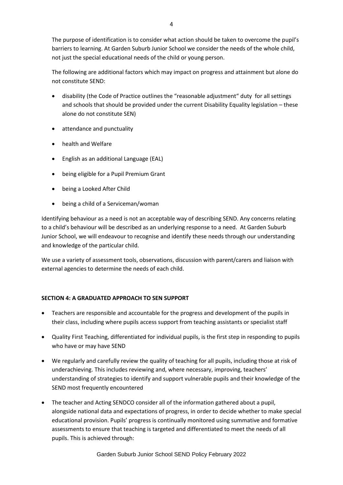The purpose of identification is to consider what action should be taken to overcome the pupil's barriers to learning. At Garden Suburb Junior School we consider the needs of the whole child, not just the special educational needs of the child or young person.

The following are additional factors which may impact on progress and attainment but alone do not constitute SEND:

- disability (the Code of Practice outlines the "reasonable adjustment" duty for all settings and schools that should be provided under the current Disability Equality legislation – these alone do not constitute SEN)
- attendance and punctuality
- health and Welfare
- English as an additional Language (EAL)
- being eligible for a Pupil Premium Grant
- being a Looked After Child
- being a child of a Serviceman/woman

Identifying behaviour as a need is not an acceptable way of describing SEND. Any concerns relating to a child's behaviour will be described as an underlying response to a need. At Garden Suburb Junior School, we will endeavour to recognise and identify these needs through our understanding and knowledge of the particular child.

We use a variety of assessment tools, observations, discussion with parent/carers and liaison with external agencies to determine the needs of each child.

# **SECTION 4: A GRADUATED APPROACH TO SEN SUPPORT**

- Teachers are responsible and accountable for the progress and development of the pupils in their class, including where pupils access support from teaching assistants or specialist staff
- Quality First Teaching, differentiated for individual pupils, is the first step in responding to pupils who have or may have SEND
- We regularly and carefully review the quality of teaching for all pupils, including those at risk of underachieving. This includes reviewing and, where necessary, improving, teachers' understanding of strategies to identify and support vulnerable pupils and their knowledge of the SEND most frequently encountered
- The teacher and Acting SENDCO consider all of the information gathered about a pupil, alongside national data and expectations of progress, in order to decide whether to make special educational provision. Pupils' progress is continually monitored using summative and formative assessments to ensure that teaching is targeted and differentiated to meet the needs of all pupils. This is achieved through: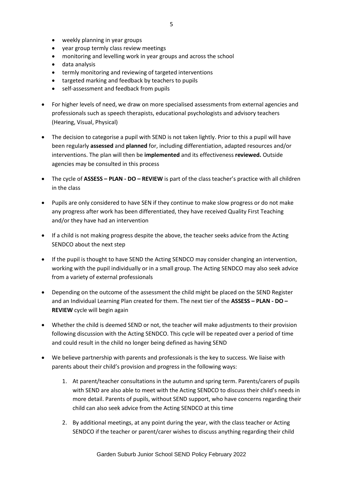- weekly planning in year groups
- vear group termly class review meetings
- monitoring and levelling work in year groups and across the school
- data analysis
- termly monitoring and reviewing of targeted interventions
- targeted marking and feedback by teachers to pupils
- self-assessment and feedback from pupils
- For higher levels of need, we draw on more specialised assessments from external agencies and professionals such as speech therapists, educational psychologists and advisory teachers (Hearing, Visual, Physical)
- The decision to categorise a pupil with SEND is not taken lightly. Prior to this a pupil will have been regularly **assessed** and **planned** for, including differentiation, adapted resources and/or interventions. The plan will then be **implemented** and its effectiveness **reviewed.** Outside agencies may be consulted in this process
- The cycle of **ASSESS – PLAN - DO – REVIEW** is part of the class teacher's practice with all children in the class
- Pupils are only considered to have SEN if they continue to make slow progress or do not make any progress after work has been differentiated, they have received Quality First Teaching and/or they have had an intervention
- If a child is not making progress despite the above, the teacher seeks advice from the Acting SENDCO about the next step
- If the pupil is thought to have SEND the Acting SENDCO may consider changing an intervention, working with the pupil individually or in a small group. The Acting SENDCO may also seek advice from a variety of external professionals
- Depending on the outcome of the assessment the child might be placed on the SEND Register and an Individual Learning Plan created for them. The next tier of the **ASSESS – PLAN - DO – REVIEW** cycle will begin again
- Whether the child is deemed SEND or not, the teacher will make adjustments to their provision following discussion with the Acting SENDCO. This cycle will be repeated over a period of time and could result in the child no longer being defined as having SEND
- We believe partnership with parents and professionals is the key to success. We liaise with parents about their child's provision and progress in the following ways:
	- 1. At parent/teacher consultations in the autumn and spring term. Parents/carers of pupils with SEND are also able to meet with the Acting SENDCO to discuss their child's needs in more detail. Parents of pupils, without SEND support, who have concerns regarding their child can also seek advice from the Acting SENDCO at this time
	- 2. By additional meetings, at any point during the year, with the class teacher or Acting SENDCO if the teacher or parent/carer wishes to discuss anything regarding their child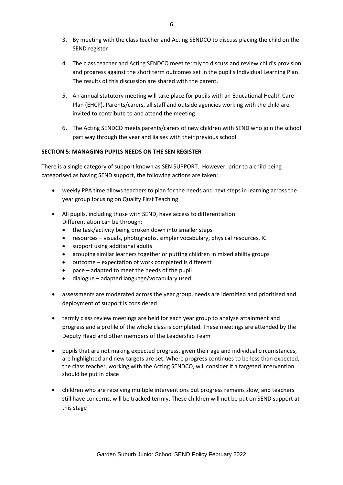- 3. By meeting with the class teacher and Acting SENDCO to discuss placing the child on the SEND register
- 4. The class teacher and Acting SENDCO meet termly to discuss and review child's provision and progress against the short term outcomes set in the pupil's Individual Learning Plan. The results of this discussion are shared with the parent.
- 5. An annual statutory meeting will take place for pupils with an Educational Health Care Plan (EHCP). Parents/carers, all staff and outside agencies working with the child are invited to contribute to and attend the meeting
- 6. The Acting SENDCO meets parents/carers of new children with SEND who join the school part way through the year and liaises with their previous school

# **SECTION 5: MANAGING PUPILS NEEDS ON THE SEN REGISTER**

There is a single category of support known as SEN SUPPORT. However, prior to a child being categorised as having SEND support, the following actions are taken:

- weekly PPA time allows teachers to plan for the needs and next steps in learning across the year group focusing on Quality First Teaching
- All pupils, including those with SEND, have access to differentiation Differentiation can be through:
	- the task/activity being broken down into smaller steps
	- resources visuals, photographs, simpler vocabulary, physical resources, ICT
	- support using additional adults
	- grouping similar learners together or putting children in mixed ability groups
	- outcome expectation of work completed is different
	- pace adapted to meet the needs of the pupil
	- dialogue adapted language/vocabulary used
- assessments are moderated across the year group, needs are identified and prioritised and deployment of support is considered
- termly class review meetings are held for each year group to analyse attainment and progress and a profile of the whole class is completed. These meetings are attended by the Deputy Head and other members of the Leadership Team
- pupils that are not making expected progress, given their age and individual circumstances, are highlighted and new targets are set. Where progress continues to be less than expected, the class teacher, working with the Acting SENDCO, will consider if a targeted intervention should be put in place
- children who are receiving multiple interventions but progress remains slow, and teachers still have concerns, will be tracked termly. These children will not be put on SEND support at this stage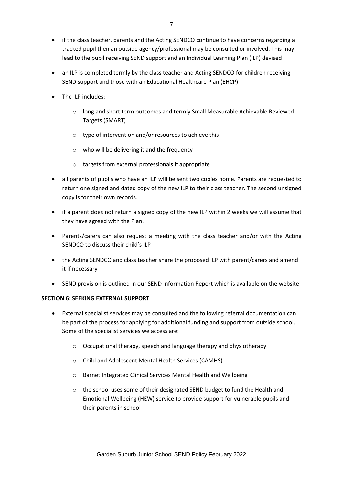- if the class teacher, parents and the Acting SENDCO continue to have concerns regarding a tracked pupil then an outside agency/professional may be consulted or involved. This may lead to the pupil receiving SEND support and an Individual Learning Plan (ILP) devised
- an ILP is completed termly by the class teacher and Acting SENDCO for children receiving SEND support and those with an Educational Healthcare Plan (EHCP)
- The ILP includes:
	- o long and short term outcomes and termly Small Measurable Achievable Reviewed Targets (SMART)
	- o type of intervention and/or resources to achieve this
	- o who will be delivering it and the frequency
	- o targets from external professionals if appropriate
- all parents of pupils who have an ILP will be sent two copies home. Parents are requested to return one signed and dated copy of the new ILP to their class teacher. The second unsigned copy is for their own records.
- if a parent does not return a signed copy of the new ILP within 2 weeks we will assume that they have agreed with the Plan.
- Parents/carers can also request a meeting with the class teacher and/or with the Acting SENDCO to discuss their child's ILP
- the Acting SENDCO and class teacher share the proposed ILP with parent/carers and amend it if necessary
- SEND provision is outlined in our SEND Information Report which is available on the website

# **SECTION 6: SEEKING EXTERNAL SUPPORT**

- External specialist services may be consulted and the following referral documentation can be part of the process for applying for additional funding and support from outside school. Some of the specialist services we access are:
	- o Occupational therapy, speech and language therapy and physiotherapy
	- $\theta$  Child and Adolescent Mental Health Services (CAMHS)
	- o Barnet Integrated Clinical Services Mental Health and Wellbeing
	- o the school uses some of their designated SEND budget to fund the Health and Emotional Wellbeing (HEW) service to provide support for vulnerable pupils and their parents in school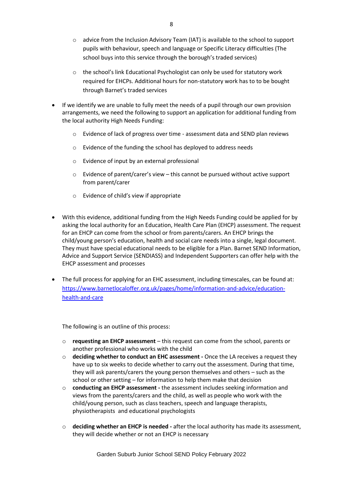- $\circ$  advice from the Inclusion Advisory Team (IAT) is available to the school to support pupils with behaviour, speech and language or Specific Literacy difficulties (The school buys into this service through the borough's traded services)
- o the school's link Educational Psychologist can only be used for statutory work required for EHCPs. Additional hours for non-statutory work has to to be bought through Barnet's traded services
- If we identify we are unable to fully meet the needs of a pupil through our own provision arrangements, we need the following to support an application for additional funding from the local authority High Needs Funding:
	- o Evidence of lack of progress over time assessment data and SEND plan reviews
	- o Evidence of the funding the school has deployed to address needs
	- o Evidence of input by an external professional
	- $\circ$  Evidence of parent/carer's view this cannot be pursued without active support from parent/carer
	- o Evidence of child's view if appropriate
- With this evidence, additional funding from the High Needs Funding could be applied for by asking the local authority for an Education, Health Care Plan (EHCP) assessment. The request for an EHCP can come from the school or from parents/carers. An EHCP brings the child/young person's education, health and social care needs into a single, legal document. They must have special educational needs to be eligible for a Plan. Barnet SEND Information, Advice and Support Service (SENDIASS) and Independent Supporters can offer help with the EHCP assessment and processes
- The full process for applying for an EHC assessment, including timescales, can be found at: [https://www.barnetlocaloffer.org.uk/pages/home/information-and-advice/education](https://www.barnetlocaloffer.org.uk/pages/home/information-and-advice/education-health-and-care)[health-and-care](https://www.barnetlocaloffer.org.uk/pages/home/information-and-advice/education-health-and-care)

The following is an outline of this process:

- o **requesting an EHCP assessment**  this request can come from the school, parents or another professional who works with the child
- o **deciding whether to conduct an EHC assessment -** Once the LA receives a request they have up to six weeks to decide whether to carry out the assessment. During that time, they will ask parents/carers the young person themselves and others – such as the school or other setting – for information to help them make that decision
- o **conducting an EHCP assessment -** the assessment includes seeking information and views from the parents/carers and the child, as well as people who work with the child/young person, such as class teachers, speech and language therapists, physiotherapists and educational psychologists
- o **deciding whether an EHCP is needed -** after the local authority has made its assessment, they will decide whether or not an EHCP is necessary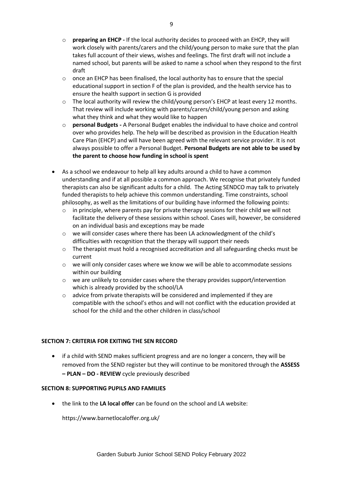- o **preparing an EHCP -** If the local authority decides to proceed with an EHCP, they will work closely with parents/carers and the child/young person to make sure that the plan takes full account of their views, wishes and feelings. The first draft will not include a named school, but parents will be asked to name a school when they respond to the first draft
- $\circ$  once an EHCP has been finalised, the local authority has to ensure that the special educational support in section F of the plan is provided, and the health service has to ensure the health support in section G is provided
- o The local authority will review the child/young person's EHCP at least every 12 months. That review will include working with parents/carers/child/young person and asking what they think and what they would like to happen
- o **personal Budgets -** A Personal Budget enables the individual to have choice and control over who provides help. The help will be described as provision in the Education Health Care Plan (EHCP) and will have been agreed with the relevant service provider. It is not always possible to offer a Personal Budget. **Personal Budgets are not able to be used by the parent to choose how funding in school is spent**
- As a school we endeavour to help all key adults around a child to have a common understanding and if at all possible a common approach. We recognise that privately funded therapists can also be significant adults for a child. The Acting SENDCO may talk to privately funded therapists to help achieve this common understanding. Time constraints, school philosophy, as well as the limitations of our building have informed the following points:
	- $\circ$  in principle, where parents pay for private therapy sessions for their child we will not facilitate the delivery of these sessions within school. Cases will, however, be considered on an individual basis and exceptions may be made
	- o we will consider cases where there has been LA acknowledgment of the child's difficulties with recognition that the therapy will support their needs
	- $\circ$  The therapist must hold a recognised accreditation and all safeguarding checks must be current
	- o we will only consider cases where we know we will be able to accommodate sessions within our building
	- o we are unlikely to consider cases where the therapy provides support/intervention which is already provided by the school/LA
	- $\circ$  advice from private therapists will be considered and implemented if they are compatible with the school's ethos and will not conflict with the education provided at school for the child and the other children in class/school

# **SECTION 7: CRITERIA FOR EXITING THE SEN RECORD**

 if a child with SEND makes sufficient progress and are no longer a concern, they will be removed from the SEND register but they will continue to be monitored through the **ASSESS – PLAN – DO - REVIEW** cycle previously described

# **SECTION 8: SUPPORTING PUPILS AND FAMILIES**

the link to the **LA local offer** can be found on the school and LA website:

https://www.barnetlocaloffer.org.uk/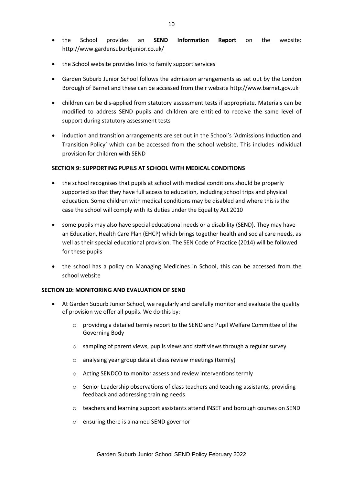- the School provides an **SEND Information Report** on the website: <http://www.gardensuburbjunior.co.uk/>
- the School website provides links to family support services
- Garden Suburb Junior School follows the admission arrangements as set out by the London Borough of Barnet and these can be accessed from their website [http://www.barnet.gov.uk](http://www.barnet.gov.uk/)
- children can be dis-applied from statutory assessment tests if appropriate. Materials can be modified to address SEND pupils and children are entitled to receive the same level of support during statutory assessment tests
- induction and transition arrangements are set out in the School's 'Admissions Induction and Transition Policy' which can be accessed from the school website. This includes individual provision for children with SEND

#### **SECTION 9: SUPPORTING PUPILS AT SCHOOL WITH MEDICAL CONDITIONS**

- the school recognises that pupils at school with medical conditions should be properly supported so that they have full access to education, including school trips and physical education. Some children with medical conditions may be disabled and where this is the case the school will comply with its duties under the Equality Act 2010
- some pupils may also have special educational needs or a disability (SEND). They may have an Education, Health Care Plan (EHCP) which brings together health and social care needs, as well as their special educational provision. The SEN Code of Practice (2014) will be followed for these pupils
- the school has a policy on Managing Medicines in School, this can be accessed from the school website

#### **SECTION 10: MONITORING AND EVALUATION OF SEND**

- At Garden Suburb Junior School, we regularly and carefully monitor and evaluate the quality of provision we offer all pupils. We do this by:
	- o providing a detailed termly report to the SEND and Pupil Welfare Committee of the Governing Body
	- o sampling of parent views, pupils views and staff views through a regular survey
	- o analysing year group data at class review meetings (termly)
	- o Acting SENDCO to monitor assess and review interventions termly
	- o Senior Leadership observations of class teachers and teaching assistants, providing feedback and addressing training needs
	- o teachers and learning support assistants attend INSET and borough courses on SEND
	- o ensuring there is a named SEND governor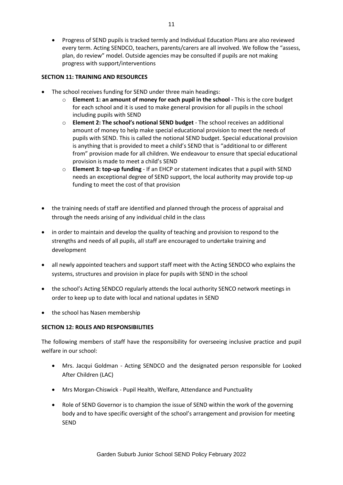Progress of SEND pupils is tracked termly and Individual Education Plans are also reviewed every term. Acting SENDCO, teachers, parents/carers are all involved. We follow the "assess, plan, do review" model. Outside agencies may be consulted if pupils are not making progress with support/interventions

### **SECTION 11: TRAINING AND RESOURCES**

- The school receives funding for SEND under three main headings:
	- o **Element 1: an amount of money for each pupil in the school -** This is the core budget for each school and it is used to make general provision for all pupils in the school including pupils with SEND
	- o **Element 2: The school's notional SEND budget** The school receives an additional amount of money to help make special educational provision to meet the needs of pupils with SEND. This is called the notional SEND budget. Special educational provision is anything that is provided to meet a child's SEND that is "additional to or different from" provision made for all children. We endeavour to ensure that special educational provision is made to meet a child's SEND
	- o **Element 3: top-up funding** If an EHCP or statement indicates that a pupil with SEND needs an exceptional degree of SEND support, the local authority may provide top-up funding to meet the cost of that provision
- the training needs of staff are identified and planned through the process of appraisal and through the needs arising of any individual child in the class
- in order to maintain and develop the quality of teaching and provision to respond to the strengths and needs of all pupils, all staff are encouraged to undertake training and development
- all newly appointed teachers and support staff meet with the Acting SENDCO who explains the systems, structures and provision in place for pupils with SEND in the school
- the school's Acting SENDCO regularly attends the local authority SENCO network meetings in order to keep up to date with local and national updates in SEND
- the school has Nasen membership

# **SECTION 12: ROLES AND RESPONSIBILITIES**

The following members of staff have the responsibility for overseeing inclusive practice and pupil welfare in our school:

- Mrs. Jacqui Goldman Acting SENDCO and the designated person responsible for Looked After Children (LAC)
- Mrs Morgan-Chiswick Pupil Health, Welfare, Attendance and Punctuality
- Role of SEND Governor is to champion the issue of SEND within the work of the governing body and to have specific oversight of the school's arrangement and provision for meeting **SEND**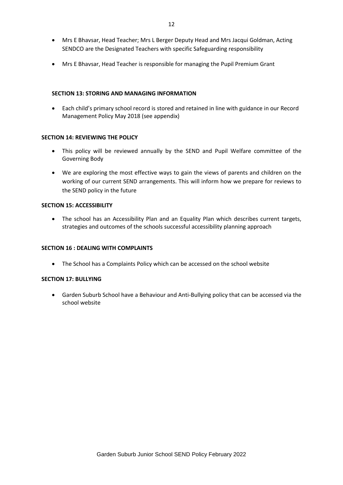- Mrs E Bhavsar, Head Teacher; Mrs L Berger Deputy Head and Mrs Jacqui Goldman, Acting SENDCO are the Designated Teachers with specific Safeguarding responsibility
- Mrs E Bhavsar, Head Teacher is responsible for managing the Pupil Premium Grant

### **SECTION 13: STORING AND MANAGING INFORMATION**

 Each child's primary school record is stored and retained in line with guidance in our Record Management Policy May 2018 (see appendix)

#### **SECTION 14: REVIEWING THE POLICY**

- This policy will be reviewed annually by the SEND and Pupil Welfare committee of the Governing Body
- We are exploring the most effective ways to gain the views of parents and children on the working of our current SEND arrangements. This will inform how we prepare for reviews to the SEND policy in the future

#### **SECTION 15: ACCESSIBILITY**

 The school has an Accessibility Plan and an Equality Plan which describes current targets, strategies and outcomes of the schools successful accessibility planning approach

# **SECTION 16 : DEALING WITH COMPLAINTS**

• The School has a Complaints Policy which can be accessed on the school website

#### **SECTION 17: BULLYING**

 Garden Suburb School have a Behaviour and Anti-Bullying policy that can be accessed via the school website